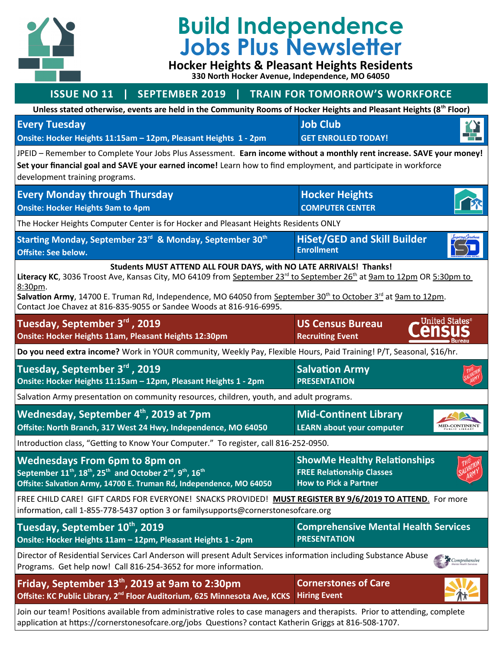

## **Build Independence Jobs Plus Newsletter**

**Hocker Heights & Pleasant Heights Residents 330 North Hocker Avenue, Independence, MO 64050**

## **ISSUE NO 11 | SEPTEMBER 2019 | TRAIN FOR TOMORROW'S WORKFORCE Unless stated otherwise, events are held in the Community Rooms of Hocker Heights and Pleasant Heights (8th Floor) Job Club Every Tuesday Onsite: Hocker Heights 11:15am – 12pm, Pleasant Heights 1 - 2pm GET ENROLLED TODAY!** JPEID – Remember to Complete Your Jobs Plus Assessment. **Earn income without a monthly rent increase. SAVE your money! Set your financial goal and SAVE your earned income!** Learn how to find employment, and participate in workforce development training programs. **Every Monday through Thursday Hocker Heights COMPUTER CENTER Onsite: Hocker Heights 9am to 4pm** The Hocker Heights Computer Center is for Hocker and Pleasant Heights Residents ONLY **HiSet/GED and Skill Builder Starting Monday, September 23rd & Monday, September 30th Enrollment Offsite: See below. Students MUST ATTEND ALL FOUR DAYS, with NO LATE ARRIVALS! Thanks!** Literacy KC, 3036 Troost Ave, Kansas City, MO 64109 from <u>September 23<sup>rd</sup> to September 26<sup>th</sup> at 9am to 12pm</u> OR 5:30pm to 8:30pm. Salvation Army, 14700 E. Truman Rd, Independence, MO 64050 from September 30<sup>th</sup> to October 3<sup>rd</sup> at 9am to 12pm. Contact Joe Chavez at 816-835-9055 or Sandee Woods at 816-916-6995. United States $^\circ$ **Tuesday, September 3rd , 2019 US Census Bureau Onsite: Hocker Heights 11am, Pleasant Heights 12:30pm Recruiting Event Do you need extra income?** Work in YOUR community, Weekly Pay, Flexible Hours, Paid Training! P/T, Seasonal, \$16/hr. **Tuesday, September 3rd , 2019 Salvation Army Onsite: Hocker Heights 11:15am – 12pm, Pleasant Heights 1 - 2pm PRESENTATION** Salvation Army presentation on community resources, children, youth, and adult programs. **Wednesday, September 4th, 2019 at 7pm Mid-Continent Library Offsite: North Branch, 317 West 24 Hwy, Independence, MO 64050** MID-CONTINENT **LEARN about your computer** Introduction class, "Getting to Know Your Computer." To register, call 816-252-0950. **ShowMe Healthy Relationships Wednesdays From 6pm to 8pm on September 11th, 18th, 25th and October 2nd, 9th, 16th FREE Relationship Classes Offsite: Salvation Army, 14700 E. Truman Rd, Independence, MO 64050 How to Pick a Partner** FREE CHILD CARE! GIFT CARDS FOR EVERYONE! SNACKS PROVIDED! **MUST REGISTER BY 9/6/2019 TO ATTEND** . For more information, call 1-855-778-5437 option 3 or familysupports@cornerstonesofcare.org **Tuesday, September 10th, 2019 Comprehensive Mental Health Services PRESENTATION Onsite: Hocker Heights 11am – 12pm, Pleasant Heights 1 - 2pm** Director of Residential Services Carl Anderson will present Adult Services information including Substance Abuse Comprehensive Programs. Get help now! Call 816-254-3652 for more information. **Friday, September 13th, 2019 at 9am to 2:30pm Cornerstones of Care Offsite: KC Public Library, 2nd Floor Auditorium, 625 Minnesota Ave, KCKS Hiring Event**

Join our team! Positions available from administrative roles to case managers and therapists. Prior to attending, complete application at https://cornerstonesofcare.org/jobs Questions? contact Katherin Griggs at 816-508-1707.